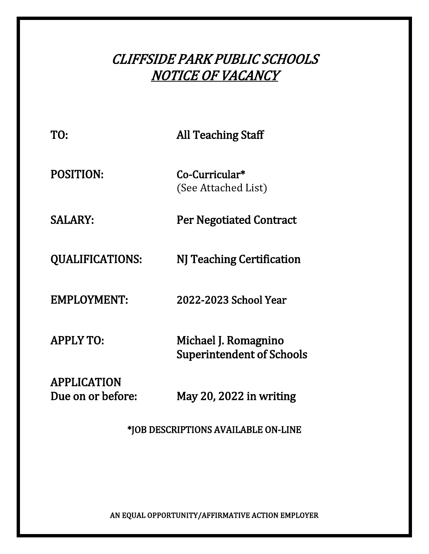# CLIFFSIDE PARK PUBLIC SCHOOLS NOTICE OF VACANCY

| TO:                                     | <b>All Teaching Staff</b>                                |
|-----------------------------------------|----------------------------------------------------------|
| <b>POSITION:</b>                        | Co-Curricular*<br>(See Attached List)                    |
| SALARY:                                 | <b>Per Negotiated Contract</b>                           |
| <b>QUALIFICATIONS:</b>                  | NJ Teaching Certification                                |
| <b>EMPLOYMENT:</b>                      | 2022-2023 School Year                                    |
| <b>APPLY TO:</b>                        | Michael J. Romagnino<br><b>Superintendent of Schools</b> |
| <b>APPLICATION</b><br>Due on or before: | May 20, 2022 in writing                                  |

\*JOB DESCRIPTIONS AVAILABLE ON-LINE

AN EQUAL OPPORTUNITY/AFFIRMATIVE ACTION EMPLOYER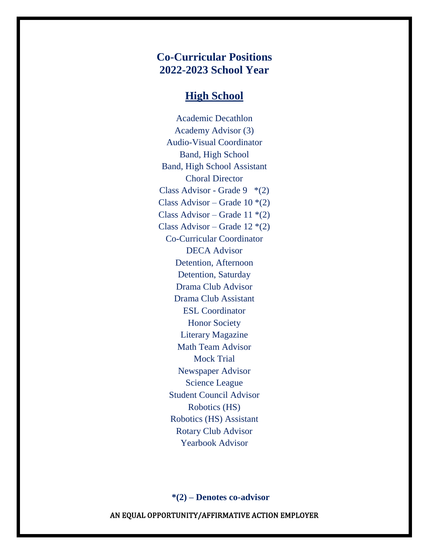## **Co-Curricular Positions 2022-2023 School Year**

#### **High School**

Academic Decathlon Academy Advisor (3) Audio-Visual Coordinator Band, High School Band, High School Assistant Choral Director Class Advisor - Grade  $9$  \*(2) Class Advisor – Grade  $10*(2)$ Class Advisor – Grade 11 $*(2)$ Class Advisor – Grade  $12*(2)$ Co-Curricular Coordinator DECA Advisor Detention, Afternoon Detention, Saturday Drama Club Advisor Drama Club Assistant ESL Coordinator Honor Society Literary Magazine Math Team Advisor Mock Trial Newspaper Advisor Science League Student Council Advisor Robotics (HS) Robotics (HS) Assistant Rotary Club Advisor Yearbook Advisor

**\*(2) – Denotes co-advisor**

AN EQUAL OPPORTUNITY/AFFIRMATIVE ACTION EMPLOYER